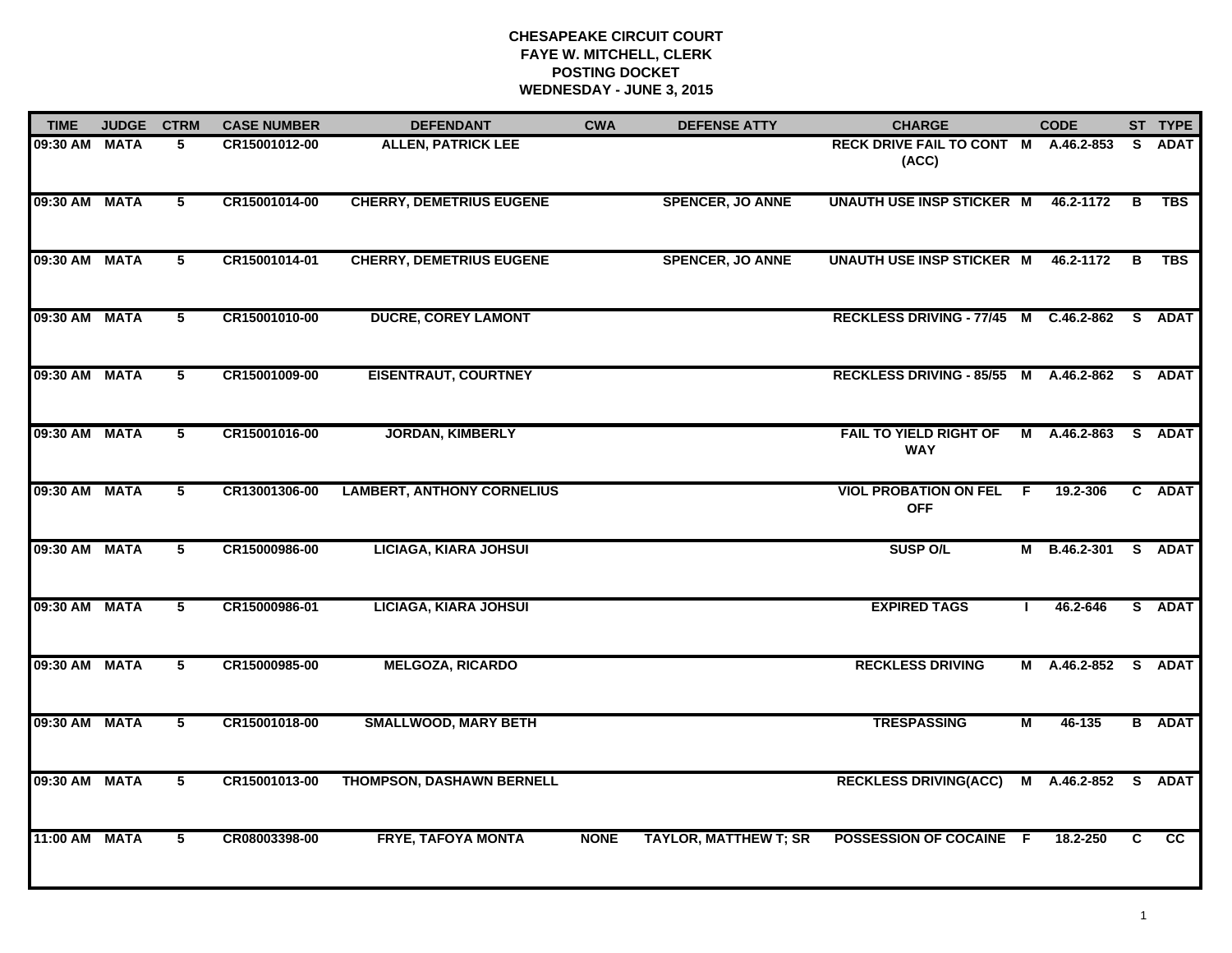# **CHESAPEAKE CIRCUIT COURT FAYE W. MITCHELL, CLERK POSTING DOCKETWEDNESDAY - JUNE 3, 2015**

| <b>TIME</b>   | <b>JUDGE</b> | <b>CTRM</b>    | <b>CASE NUMBER</b> | <b>DEFENDANT</b>                  | <b>CWA</b>  | <b>DEFENSE ATTY</b>          | <b>CHARGE</b>                                 |    | <b>CODE</b>  |    | ST TYPE       |
|---------------|--------------|----------------|--------------------|-----------------------------------|-------------|------------------------------|-----------------------------------------------|----|--------------|----|---------------|
| 09:30 AM      | <b>MATA</b>  | 5              | CR15001012-00      | <b>ALLEN, PATRICK LEE</b>         |             |                              | RECK DRIVE FAIL TO CONT M A.46.2-853<br>(ACC) |    |              | S. | <b>ADAT</b>   |
| 09:30 AM MATA |              | 5              | CR15001014-00      | <b>CHERRY, DEMETRIUS EUGENE</b>   |             | <b>SPENCER, JO ANNE</b>      | <b>UNAUTH USE INSP STICKER M</b>              |    | 46.2-1172    | B  | TBS           |
| 09:30 AM MATA |              | 5              | CR15001014-01      | <b>CHERRY, DEMETRIUS EUGENE</b>   |             | <b>SPENCER, JO ANNE</b>      | <b>UNAUTH USE INSP STICKER M</b>              |    | 46.2-1172    | В  | TBS           |
| 09:30 AM      | <b>MATA</b>  | 5              | CR15001010-00      | <b>DUCRE, COREY LAMONT</b>        |             |                              | RECKLESS DRIVING - 77/45 M C.46.2-862         |    |              |    | S ADAT        |
| 09:30 AM MATA |              | 5              | CR15001009-00      | <b>EISENTRAUT, COURTNEY</b>       |             |                              | RECKLESS DRIVING - 85/55 M A.46.2-862         |    |              |    | S ADAT        |
| 09:30 AM      | <b>MATA</b>  | $5^{\circ}$    | CR15001016-00      | <b>JORDAN, KIMBERLY</b>           |             |                              | <b>FAIL TO YIELD RIGHT OF</b><br><b>WAY</b>   | Μ  | A.46.2-863   | S. | <b>ADAT</b>   |
| 09:30 AM      | <b>MATA</b>  | 5              | CR13001306-00      | <b>LAMBERT, ANTHONY CORNELIUS</b> |             |                              | <b>VIOL PROBATION ON FEL</b><br><b>OFF</b>    | F. | 19.2-306     |    | C ADAT        |
| 09:30 AM MATA |              | 5              | CR15000986-00      | <b>LICIAGA, KIARA JOHSUI</b>      |             |                              | <b>SUSP O/L</b>                               | М  | B.46.2-301   |    | S ADAT        |
| 09:30 AM      | <b>MATA</b>  | 5              | CR15000986-01      | <b>LICIAGA, KIARA JOHSUI</b>      |             |                              | <b>EXPIRED TAGS</b>                           | Т. | 46.2-646     |    | S ADAT        |
| 09:30 AM MATA |              | 5              | CR15000985-00      | <b>MELGOZA, RICARDO</b>           |             |                              | <b>RECKLESS DRIVING</b>                       |    | M A.46.2-852 |    | S ADAT        |
| 09:30 AM MATA |              | $\overline{5}$ | CR15001018-00      | <b>SMALLWOOD, MARY BETH</b>       |             |                              | <b>TRESPASSING</b>                            | М  | 46-135       |    | <b>B</b> ADAT |
| 09:30 AM      | <b>MATA</b>  | $\overline{5}$ | CR15001013-00      | <b>THOMPSON, DASHAWN BERNELL</b>  |             |                              | <b>RECKLESS DRIVING(ACC)</b>                  |    | M A.46.2-852 |    | S ADAT        |
| 11:00 AM MATA |              | 5              | CR08003398-00      | <b>FRYE, TAFOYA MONTA</b>         | <b>NONE</b> | <b>TAYLOR, MATTHEW T; SR</b> | POSSESSION OF COCAINE F                       |    | 18.2-250     | C. | CC            |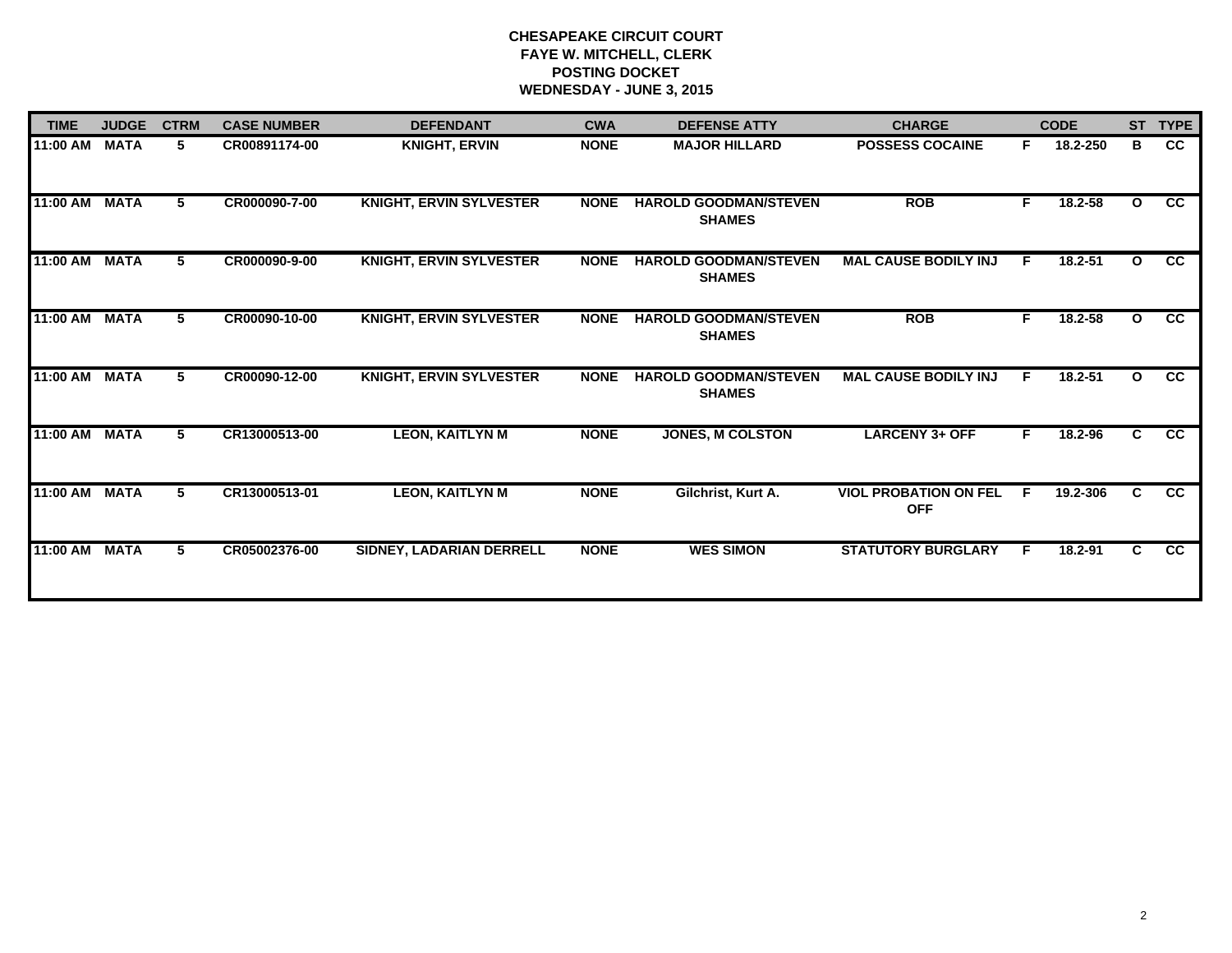# **CHESAPEAKE CIRCUIT COURT FAYE W. MITCHELL, CLERK POSTING DOCKET WEDNESDAY - JUNE 3, 2015**

| <b>TIME</b>   | <b>JUDGE</b> | <b>CTRM</b> | <b>CASE NUMBER</b> | <b>DEFENDANT</b>               | <b>CWA</b>  | <b>DEFENSE ATTY</b>                           | <b>CHARGE</b>                              |    | <b>CODE</b> |              | ST TYPE         |
|---------------|--------------|-------------|--------------------|--------------------------------|-------------|-----------------------------------------------|--------------------------------------------|----|-------------|--------------|-----------------|
| 11:00 AM      | <b>MATA</b>  | 5.          | CR00891174-00      | <b>KNIGHT, ERVIN</b>           | <b>NONE</b> | <b>MAJOR HILLARD</b>                          | <b>POSSESS COCAINE</b>                     | F. | 18.2-250    | в            | <b>CC</b>       |
| 11:00 AM MATA |              | 5           | CR000090-7-00      | <b>KNIGHT, ERVIN SYLVESTER</b> | <b>NONE</b> | <b>HAROLD GOODMAN/STEVEN</b><br><b>SHAMES</b> | <b>ROB</b>                                 | F. | 18.2-58     | $\mathbf{o}$ | <b>CC</b>       |
| 11:00 AM      | <b>MATA</b>  | 5.          | CR000090-9-00      | <b>KNIGHT, ERVIN SYLVESTER</b> | <b>NONE</b> | <b>HAROLD GOODMAN/STEVEN</b><br><b>SHAMES</b> | <b>MAL CAUSE BODILY INJ</b>                |    | $18.2 - 51$ | O            | $\overline{cc}$ |
| 11:00 AM MATA |              | 5           | CR00090-10-00      | <b>KNIGHT, ERVIN SYLVESTER</b> | <b>NONE</b> | <b>HAROLD GOODMAN/STEVEN</b><br><b>SHAMES</b> | <b>ROB</b>                                 | F. | 18.2-58     | $\mathbf{o}$ | <b>CC</b>       |
| 11:00 AM      | <b>MATA</b>  | 5           | CR00090-12-00      | <b>KNIGHT, ERVIN SYLVESTER</b> | <b>NONE</b> | <b>HAROLD GOODMAN/STEVEN</b><br><b>SHAMES</b> | <b>MAL CAUSE BODILY INJ</b>                | F  | 18.2-51     | $\mathbf{o}$ | <b>CC</b>       |
| 11:00 AM MATA |              | 5           | CR13000513-00      | <b>LEON, KAITLYN M</b>         | <b>NONE</b> | <b>JONES, M COLSTON</b>                       | <b>LARCENY 3+ OFF</b>                      | F  | 18.2-96     | C.           | $\overline{cc}$ |
| 11:00 AM      | <b>MATA</b>  | 5.          | CR13000513-01      | <b>LEON, KAITLYN M</b>         | <b>NONE</b> | Gilchrist, Kurt A.                            | <b>VIOL PROBATION ON FEL</b><br><b>OFF</b> | F  | 19.2-306    | C            | <b>CC</b>       |
| 11:00 AM      | <b>MATA</b>  | 5           | CR05002376-00      | SIDNEY, LADARIAN DERRELL       | <b>NONE</b> | <b>WES SIMON</b>                              | <b>STATUTORY BURGLARY</b>                  | Е  | 18.2-91     | C.           | $\overline{cc}$ |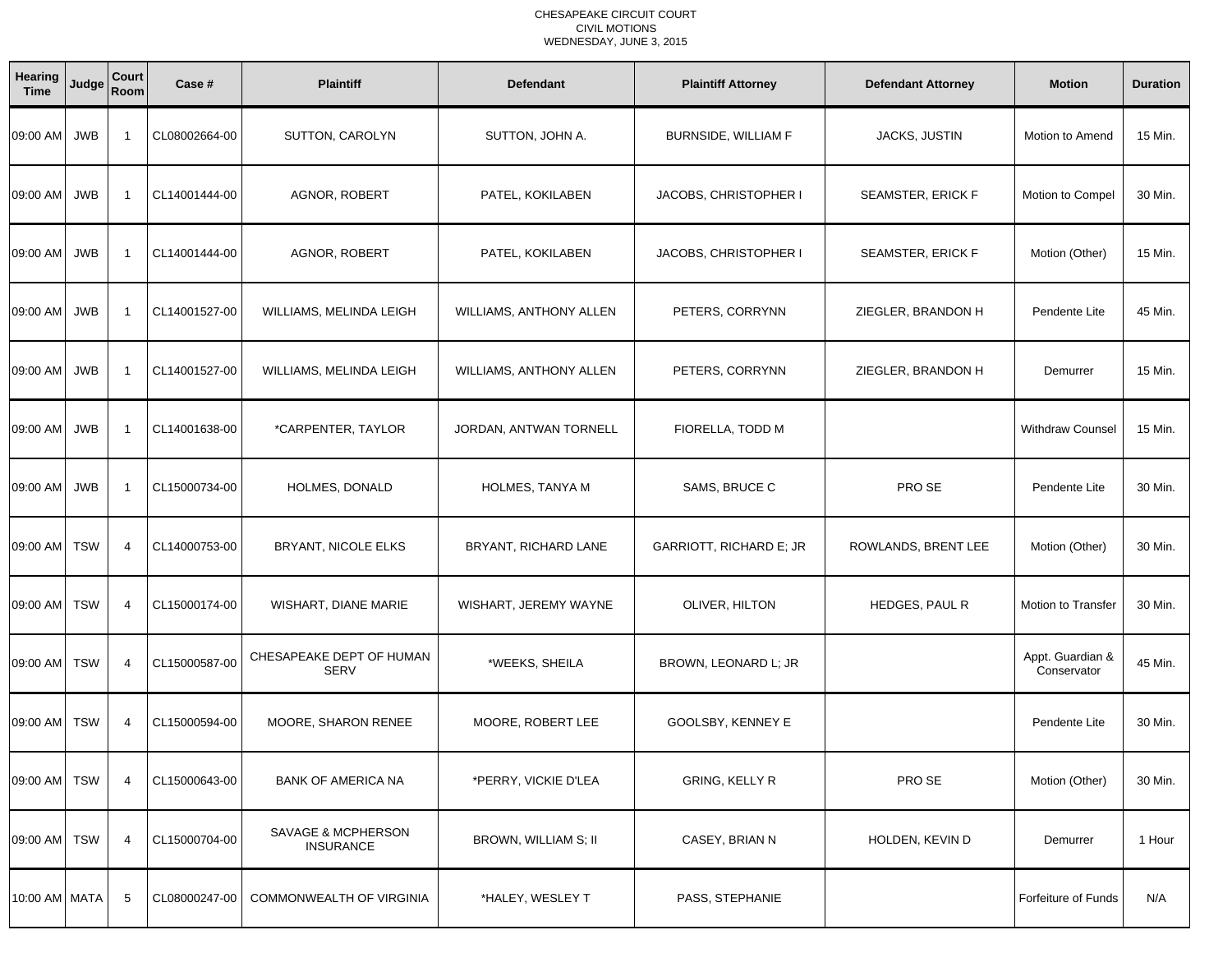### CHESAPEAKE CIRCUIT COURT CIVIL MOTIONSWEDNESDAY, JUNE 3, 2015

| Hearing<br><b>Time</b> | Judge      | Court<br>Room  | Case #        | <b>Plaintiff</b>                        | <b>Defendant</b>        | <b>Plaintiff Attorney</b>  | <b>Defendant Attorney</b> | <b>Motion</b>                   | <b>Duration</b> |
|------------------------|------------|----------------|---------------|-----------------------------------------|-------------------------|----------------------------|---------------------------|---------------------------------|-----------------|
| 09:00 AM JWB           |            | - 1            | CL08002664-00 | SUTTON, CAROLYN                         | SUTTON, JOHN A.         | <b>BURNSIDE, WILLIAM F</b> | JACKS, JUSTIN             | Motion to Amend                 | 15 Min.         |
| 09:00 AM               | <b>JWB</b> | -1             | CL14001444-00 | AGNOR, ROBERT                           | PATEL, KOKILABEN        | JACOBS, CHRISTOPHER I      | <b>SEAMSTER, ERICK F</b>  | Motion to Compel                | 30 Min.         |
| 09:00 AM               | <b>JWB</b> | - 1            | CL14001444-00 | AGNOR, ROBERT                           | PATEL, KOKILABEN        | JACOBS, CHRISTOPHER I      | <b>SEAMSTER, ERICK F</b>  | Motion (Other)                  | 15 Min.         |
| 09:00 AM               | <b>JWB</b> | -1             | CL14001527-00 | WILLIAMS, MELINDA LEIGH                 | WILLIAMS, ANTHONY ALLEN | PETERS, CORRYNN            | ZIEGLER, BRANDON H        | Pendente Lite                   | 45 Min.         |
| 09:00 AM JWB           |            | $\overline{1}$ | CL14001527-00 | WILLIAMS, MELINDA LEIGH                 | WILLIAMS, ANTHONY ALLEN | PETERS, CORRYNN            | ZIEGLER, BRANDON H        | Demurrer                        | 15 Min.         |
| 09:00 AM               | <b>JWB</b> | -1             | CL14001638-00 | *CARPENTER, TAYLOR                      | JORDAN, ANTWAN TORNELL  | FIORELLA, TODD M           |                           | Withdraw Counsel                | 15 Min.         |
| 09:00 AM JWB           |            | -1             | CL15000734-00 | HOLMES, DONALD                          | HOLMES, TANYA M         | SAMS, BRUCE C              | PRO SE                    | Pendente Lite                   | 30 Min.         |
| 09:00 AM TSW           |            | $\overline{4}$ | CL14000753-00 | BRYANT, NICOLE ELKS                     | BRYANT, RICHARD LANE    | GARRIOTT, RICHARD E; JR    | ROWLANDS, BRENT LEE       | Motion (Other)                  | 30 Min.         |
| 09:00 AM TSW           |            | 4              | CL15000174-00 | WISHART, DIANE MARIE                    | WISHART, JEREMY WAYNE   | OLIVER, HILTON             | HEDGES, PAUL R            | Motion to Transfer              | 30 Min.         |
| 09:00 AM TSW           |            | $\overline{4}$ | CL15000587-00 | CHESAPEAKE DEPT OF HUMAN<br><b>SERV</b> | *WEEKS, SHEILA          | BROWN, LEONARD L; JR       |                           | Appt. Guardian &<br>Conservator | 45 Min.         |
| 09:00 AM TSW           |            | $\overline{4}$ | CL15000594-00 | MOORE, SHARON RENEE                     | MOORE, ROBERT LEE       | GOOLSBY, KENNEY E          |                           | Pendente Lite                   | 30 Min.         |
| 09:00 AM TSW           |            | 4              | CL15000643-00 | <b>BANK OF AMERICA NA</b>               | *PERRY, VICKIE D'LEA    | <b>GRING, KELLY R</b>      | PRO SE                    | Motion (Other)                  | 30 Min.         |
| 09:00 AM TSW           |            | 4              | CL15000704-00 | SAVAGE & MCPHERSON<br><b>INSURANCE</b>  | BROWN, WILLIAM S; II    | CASEY, BRIAN N             | HOLDEN, KEVIN D           | Demurrer                        | 1 Hour          |
| 10:00 AM MATA          |            | 5              | CL08000247-00 | COMMONWEALTH OF VIRGINIA                | *HALEY, WESLEY T        | PASS, STEPHANIE            |                           | Forfeiture of Funds             | N/A             |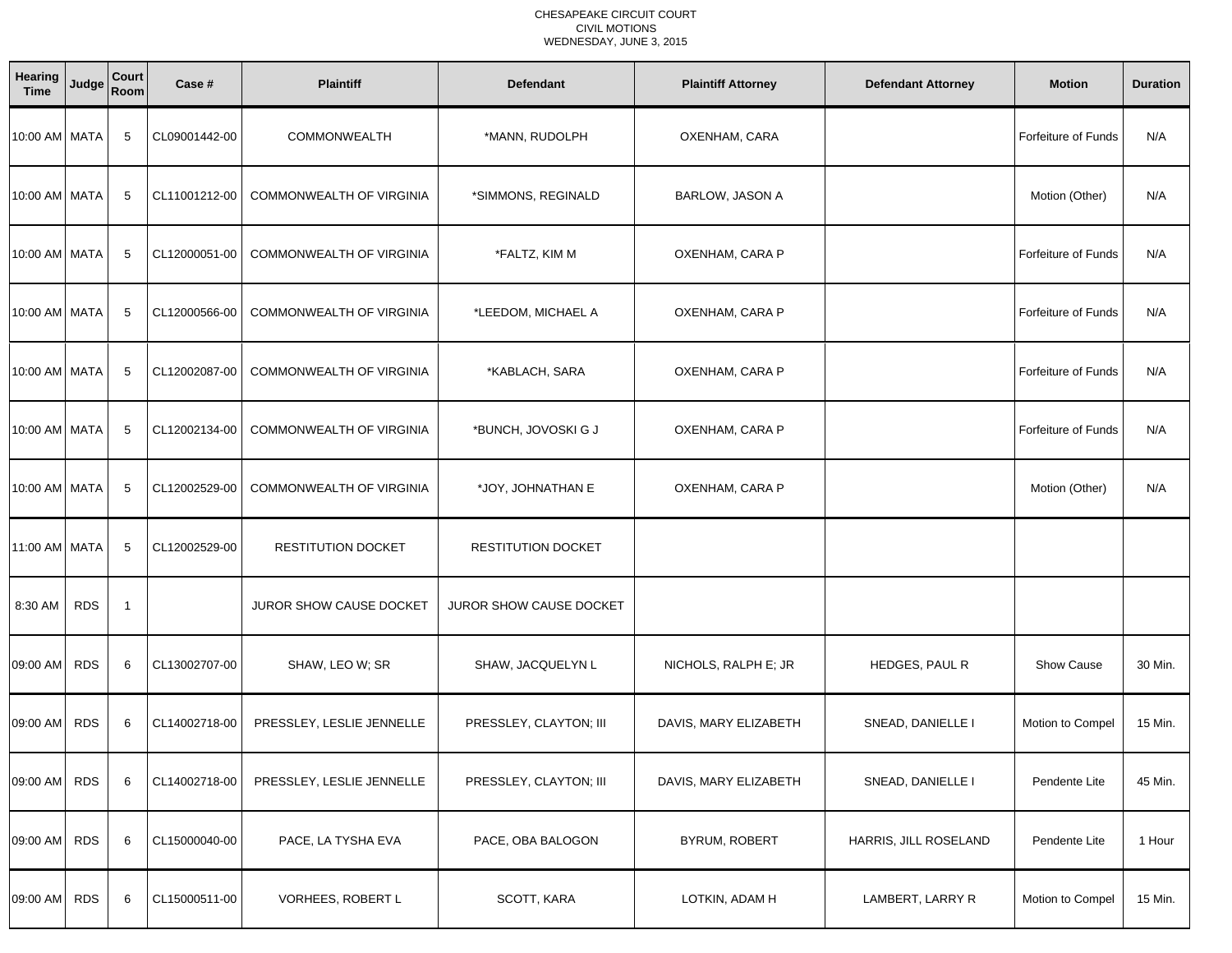### CHESAPEAKE CIRCUIT COURT CIVIL MOTIONSWEDNESDAY, JUNE 3, 2015

| Hearing<br><b>Time</b> | Judge      | Court<br>Room | Case #        | <b>Plaintiff</b>                | <b>Defendant</b>          | <b>Plaintiff Attorney</b> | <b>Defendant Attorney</b> | <b>Motion</b>              | <b>Duration</b> |
|------------------------|------------|---------------|---------------|---------------------------------|---------------------------|---------------------------|---------------------------|----------------------------|-----------------|
| 10:00 AM MATA          |            | 5             | CL09001442-00 | COMMONWEALTH                    | *MANN, RUDOLPH            | OXENHAM, CARA             |                           | Forfeiture of Funds        | N/A             |
| 10:00 AM MATA          |            | 5             | CL11001212-00 | COMMONWEALTH OF VIRGINIA        | *SIMMONS, REGINALD        | BARLOW, JASON A           |                           | Motion (Other)             | N/A             |
| 10:00 AM MATA          |            | 5             | CL12000051-00 | COMMONWEALTH OF VIRGINIA        | *FALTZ, KIM M             | OXENHAM, CARA P           |                           | Forfeiture of Funds        | N/A             |
| 10:00 AM MATA          |            | 5             | CL12000566-00 | COMMONWEALTH OF VIRGINIA        | *LEEDOM, MICHAEL A        | OXENHAM, CARA P           |                           | Forfeiture of Funds        | N/A             |
| 10:00 AM MATA          |            | 5             | CL12002087-00 | COMMONWEALTH OF VIRGINIA        | *KABLACH, SARA            | OXENHAM, CARA P           |                           | <b>Forfeiture of Funds</b> | N/A             |
| 10:00 AM MATA          |            | 5             | CL12002134-00 | COMMONWEALTH OF VIRGINIA        | *BUNCH, JOVOSKI G J       | OXENHAM, CARA P           |                           | <b>Forfeiture of Funds</b> | N/A             |
| 10:00 AM MATA          |            | -5            | CL12002529-00 | <b>COMMONWEALTH OF VIRGINIA</b> | *JOY, JOHNATHAN E         | OXENHAM, CARA P           |                           | Motion (Other)             | N/A             |
| 11:00 AM MATA          |            | 5             | CL12002529-00 | <b>RESTITUTION DOCKET</b>       | <b>RESTITUTION DOCKET</b> |                           |                           |                            |                 |
| 8:30 AM                | <b>RDS</b> | -1            |               | JUROR SHOW CAUSE DOCKET         | JUROR SHOW CAUSE DOCKET   |                           |                           |                            |                 |
| 09:00 AM               | <b>RDS</b> | 6             | CL13002707-00 | SHAW, LEO W; SR                 | SHAW, JACQUELYN L         | NICHOLS, RALPH E; JR      | HEDGES, PAUL R            | <b>Show Cause</b>          | 30 Min.         |
| 09:00 AM RDS           |            | 6             | CL14002718-00 | PRESSLEY, LESLIE JENNELLE       | PRESSLEY, CLAYTON; III    | DAVIS, MARY ELIZABETH     | SNEAD, DANIELLE I         | Motion to Compel           | 15 Min.         |
| 09:00 AM RDS           |            | 6             | CL14002718-00 | PRESSLEY, LESLIE JENNELLE       | PRESSLEY, CLAYTON; III    | DAVIS, MARY ELIZABETH     | SNEAD, DANIELLE I         | Pendente Lite              | 45 Min.         |
| 09:00 AM RDS           |            | 6             | CL15000040-00 | PACE, LA TYSHA EVA              | PACE, OBA BALOGON         | BYRUM, ROBERT             | HARRIS, JILL ROSELAND     | Pendente Lite              | 1 Hour          |
| 09:00 AM RDS           |            | 6             | CL15000511-00 | VORHEES, ROBERT L               | SCOTT, KARA               | LOTKIN, ADAM H            | LAMBERT, LARRY R          | Motion to Compel           | 15 Min.         |